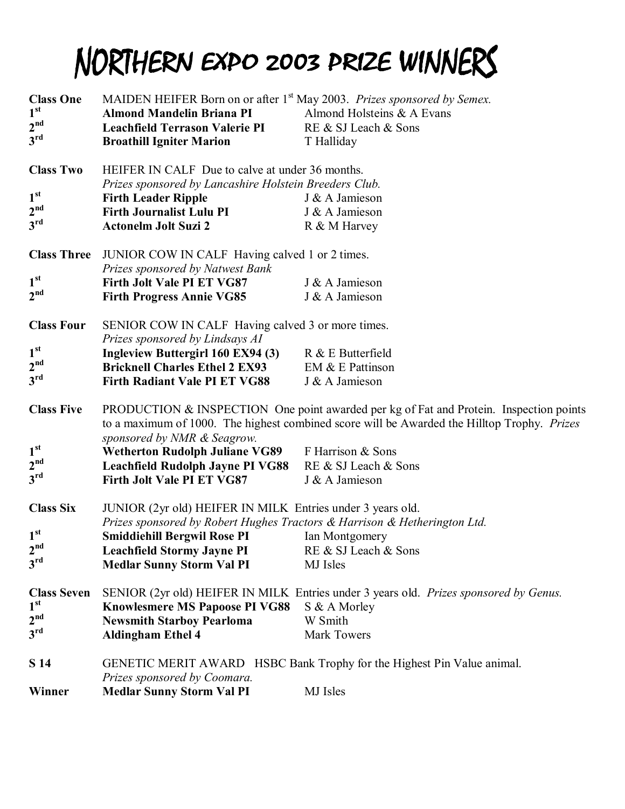## NORTHERN EXPO 2003 PRIZE WINNERS

| <b>Class One</b><br>1 <sup>st</sup><br>2 <sup>nd</sup><br>$3^{\rm rd}$      | MAIDEN HEIFER Born on or after 1 <sup>st</sup> May 2003. Prizes sponsored by Semex.<br><b>Almond Mandelin Briana PI</b><br><b>Leachfield Terrason Valerie PI</b><br><b>Broathill Igniter Marion</b>                  | Almond Holsteins & A Evans<br>RE & SJ Leach & Sons<br>T Halliday                                                                       |  |
|-----------------------------------------------------------------------------|----------------------------------------------------------------------------------------------------------------------------------------------------------------------------------------------------------------------|----------------------------------------------------------------------------------------------------------------------------------------|--|
| <b>Class Two</b>                                                            | HEIFER IN CALF Due to calve at under 36 months.                                                                                                                                                                      |                                                                                                                                        |  |
|                                                                             | Prizes sponsored by Lancashire Holstein Breeders Club.                                                                                                                                                               |                                                                                                                                        |  |
| 1 <sup>st</sup>                                                             | <b>Firth Leader Ripple</b>                                                                                                                                                                                           | J & A Jamieson                                                                                                                         |  |
| 2 <sup>nd</sup><br>3 <sup>rd</sup>                                          | <b>Firth Journalist Lulu PI</b>                                                                                                                                                                                      | J & A Jamieson                                                                                                                         |  |
|                                                                             | <b>Actonelm Jolt Suzi 2</b>                                                                                                                                                                                          | R & M Harvey                                                                                                                           |  |
| <b>Class Three</b>                                                          | JUNIOR COW IN CALF Having calved 1 or 2 times.<br>Prizes sponsored by Natwest Bank                                                                                                                                   |                                                                                                                                        |  |
| 1 <sup>st</sup>                                                             | <b>Firth Jolt Vale PI ET VG87</b>                                                                                                                                                                                    | J & A Jamieson                                                                                                                         |  |
| 2 <sup>nd</sup>                                                             | <b>Firth Progress Annie VG85</b>                                                                                                                                                                                     | J & A Jamieson                                                                                                                         |  |
| <b>Class Four</b>                                                           | SENIOR COW IN CALF Having calved 3 or more times.<br>Prizes sponsored by Lindsays AI                                                                                                                                 |                                                                                                                                        |  |
| 1 <sup>st</sup>                                                             | Ingleview Buttergirl 160 EX94 (3)                                                                                                                                                                                    | R & E Butterfield                                                                                                                      |  |
| 2 <sup>nd</sup><br>$3^{\rm rd}$                                             | <b>Bricknell Charles Ethel 2 EX93</b>                                                                                                                                                                                | EM & E Pattinson                                                                                                                       |  |
|                                                                             | <b>Firth Radiant Vale PI ET VG88</b>                                                                                                                                                                                 | J & A Jamieson                                                                                                                         |  |
| <b>Class Five</b>                                                           | PRODUCTION & INSPECTION One point awarded per kg of Fat and Protein. Inspection points<br>to a maximum of 1000. The highest combined score will be Awarded the Hilltop Trophy. Prizes<br>sponsored by NMR & Seagrow. |                                                                                                                                        |  |
| 1 <sup>st</sup>                                                             | <b>Wetherton Rudolph Juliane VG89</b>                                                                                                                                                                                | F Harrison & Sons                                                                                                                      |  |
| 2 <sup>nd</sup>                                                             | Leachfield Rudolph Jayne PI VG88 RE & SJ Leach & Sons                                                                                                                                                                |                                                                                                                                        |  |
| 3 <sup>rd</sup>                                                             | <b>Firth Jolt Vale PI ET VG87</b>                                                                                                                                                                                    | J & A Jamieson                                                                                                                         |  |
| <b>Class Six</b>                                                            |                                                                                                                                                                                                                      |                                                                                                                                        |  |
|                                                                             | JUNIOR (2yr old) HEIFER IN MILK Entries under 3 years old.<br>Prizes sponsored by Robert Hughes Tractors & Harrison & Hetherington Ltd.                                                                              |                                                                                                                                        |  |
| 1 <sup>st</sup>                                                             | <b>Smiddiehill Bergwil Rose PI</b>                                                                                                                                                                                   | Ian Montgomery                                                                                                                         |  |
| 2 <sup>nd</sup>                                                             | <b>Leachfield Stormy Jayne PI</b>                                                                                                                                                                                    | RE & SJ Leach & Sons                                                                                                                   |  |
| $3^{\rm rd}$                                                                | <b>Medlar Sunny Storm Val PI</b>                                                                                                                                                                                     | MJ Isles                                                                                                                               |  |
| <b>Class Seven</b><br>1 <sup>st</sup><br>2 <sup>nd</sup><br>3 <sup>rd</sup> | <b>Knowlesmere MS Papoose PI VG88</b><br><b>Newsmith Starboy Pearloma</b><br><b>Aldingham Ethel 4</b>                                                                                                                | SENIOR (2yr old) HEIFER IN MILK Entries under 3 years old. Prizes sponsored by Genus.<br>S & A Morley<br>W Smith<br><b>Mark Towers</b> |  |
| S 14                                                                        | GENETIC MERIT AWARD HSBC Bank Trophy for the Highest Pin Value animal.<br>Prizes sponsored by Coomara.                                                                                                               |                                                                                                                                        |  |
| Winner                                                                      | <b>Medlar Sunny Storm Val PI</b>                                                                                                                                                                                     | MJ Isles                                                                                                                               |  |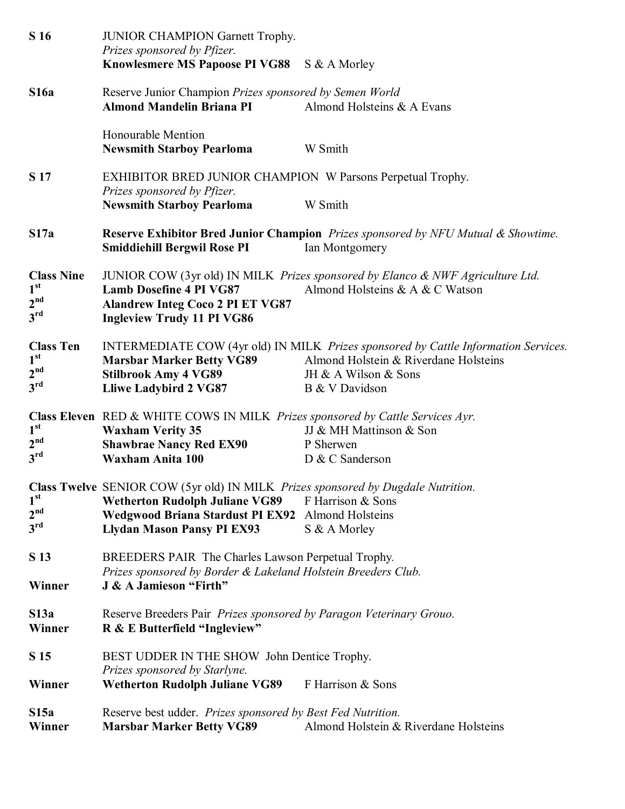| S 16                                                                       | <b>JUNIOR CHAMPION Garnett Trophy.</b><br>Prizes sponsored by Pfizer.                                                                                                                                     |                                                                                                                                                                        |
|----------------------------------------------------------------------------|-----------------------------------------------------------------------------------------------------------------------------------------------------------------------------------------------------------|------------------------------------------------------------------------------------------------------------------------------------------------------------------------|
|                                                                            | <b>Knowlesmere MS Papoose PI VG88</b>                                                                                                                                                                     | S & A Morley                                                                                                                                                           |
| <b>S16a</b>                                                                | Reserve Junior Champion Prizes sponsored by Semen World<br><b>Almond Mandelin Briana PI</b>                                                                                                               | Almond Holsteins & A Evans                                                                                                                                             |
|                                                                            | Honourable Mention<br><b>Newsmith Starboy Pearloma</b>                                                                                                                                                    | W Smith                                                                                                                                                                |
| <b>S</b> 17                                                                | EXHIBITOR BRED JUNIOR CHAMPION W Parsons Perpetual Trophy.<br>Prizes sponsored by Pfizer.<br><b>Newsmith Starboy Pearloma</b>                                                                             | W Smith                                                                                                                                                                |
| S17a                                                                       | <b>Smiddiehill Bergwil Rose PI</b>                                                                                                                                                                        | <b>Reserve Exhibitor Bred Junior Champion</b> Prizes sponsored by NFU Mutual & Showtime.<br>Ian Montgomery                                                             |
| <b>Class Nine</b><br>1 <sup>st</sup><br>2 <sup>nd</sup><br>3 <sup>rd</sup> | <b>Lamb Dosefine 4 PI VG87</b><br><b>Alandrew Integ Coco 2 PI ET VG87</b><br><b>Ingleview Trudy 11 PI VG86</b>                                                                                            | JUNIOR COW (3yr old) IN MILK Prizes sponsored by Elanco & NWF Agriculture Ltd.<br>Almond Holsteins & A & C Watson                                                      |
| <b>Class Ten</b><br>1 <sup>st</sup><br>2 <sup>nd</sup><br>3 <sup>rd</sup>  | <b>Marsbar Marker Betty VG89</b><br><b>Stilbrook Amy 4 VG89</b><br><b>Lliwe Ladybird 2 VG87</b>                                                                                                           | INTERMEDIATE COW (4yr old) IN MILK Prizes sponsored by Cattle Information Services.<br>Almond Holstein & Riverdane Holsteins<br>JH & A Wilson & Sons<br>B & V Davidson |
| 1 <sup>st</sup><br>2 <sup>nd</sup><br>3 <sup>rd</sup>                      | Class Eleven RED & WHITE COWS IN MILK Prizes sponsored by Cattle Services Ayr.<br><b>Waxham Verity 35</b><br><b>Shawbrae Nancy Red EX90</b><br><b>Waxham Anita 100</b>                                    | JJ & MH Mattinson & Son<br>P Sherwen<br>D & C Sanderson                                                                                                                |
| 1 <sup>st</sup><br>2 <sup>nd</sup><br>3 <sup>rd</sup>                      | Class Twelve SENIOR COW (5yr old) IN MILK Prizes sponsored by Dugdale Nutrition.<br><b>Wetherton Rudolph Juliane VG89</b><br><b>Wedgwood Briana Stardust PI EX92</b><br><b>Llydan Mason Pansy PI EX93</b> | F Harrison & Sons<br><b>Almond Holsteins</b><br>S & A Morley                                                                                                           |
| <b>S</b> 13<br>Winner                                                      | BREEDERS PAIR The Charles Lawson Perpetual Trophy.<br>Prizes sponsored by Border & Lakeland Holstein Breeders Club.<br><b>J &amp; A Jamieson "Firth"</b>                                                  |                                                                                                                                                                        |
| S13a<br>Winner                                                             | Reserve Breeders Pair Prizes sponsored by Paragon Veterinary Grouo.<br>R & E Butterfield "Ingleview"                                                                                                      |                                                                                                                                                                        |
| S 15                                                                       | BEST UDDER IN THE SHOW John Dentice Trophy.<br>Prizes sponsored by Starlyne.                                                                                                                              |                                                                                                                                                                        |
| Winner                                                                     | <b>Wetherton Rudolph Juliane VG89</b>                                                                                                                                                                     | F Harrison & Sons                                                                                                                                                      |
| S15a<br>Winner                                                             | Reserve best udder. Prizes sponsored by Best Fed Nutrition.<br><b>Marsbar Marker Betty VG89</b>                                                                                                           | Almond Holstein & Riverdane Holsteins                                                                                                                                  |